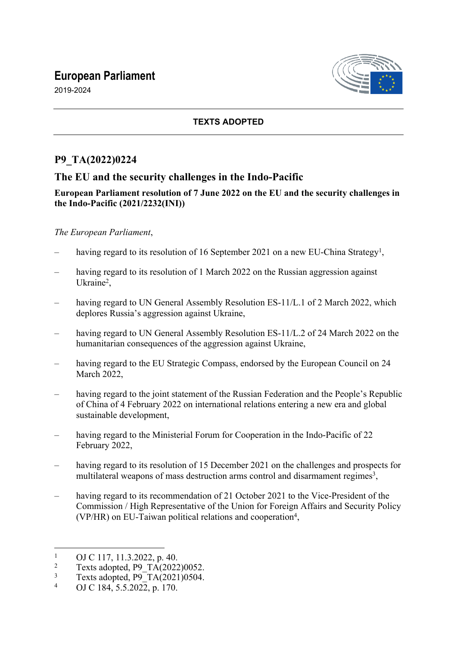# **European Parliament**

2019-2024



## **TEXTS ADOPTED**

## **P9\_TA(2022)0224**

## **The EU and the security challenges in the Indo-Pacific**

## **European Parliament resolution of 7 June 2022 on the EU and the security challenges in the Indo-Pacific (2021/2232(INI))**

## *The European Parliament*,

- having regard to its resolution of 16 September 2021 on a new EU-China Strategy<sup>1</sup>,
- having regard to its resolution of 1 March 2022 on the Russian aggression against Ukraine<sup>2</sup>,
- having regard to UN General Assembly Resolution ES-11/L.1 of 2 March 2022, which deplores Russia's aggression against Ukraine,
- having regard to UN General Assembly Resolution ES-11/L.2 of 24 March 2022 on the humanitarian consequences of the aggression against Ukraine,
- having regard to the EU Strategic Compass, endorsed by the European Council on 24 March 2022,
- having regard to the joint statement of the Russian Federation and the People's Republic of China of 4 February 2022 on international relations entering a new era and global sustainable development,
- having regard to the Ministerial Forum for Cooperation in the Indo-Pacific of 22 February 2022,
- having regard to its resolution of 15 December 2021 on the challenges and prospects for multilateral weapons of mass destruction arms control and disarmament regimes<sup>3</sup>,
- having regard to its recommendation of 21 October 2021 to the Vice-President of the Commission / High Representative of the Union for Foreign Affairs and Security Policy (VP/HR) on EU-Taiwan political relations and cooperation<sup>4</sup>,

<sup>1</sup> OJ C 117, 11.3.2022, p. 40.

<sup>2</sup> Texts adopted, P9\_TA(2022)0052.

<sup>3</sup> Texts adopted,  $P9T_A(2021)0504$ .

<sup>4</sup> OJ C 184, 5.5.2022, p. 170.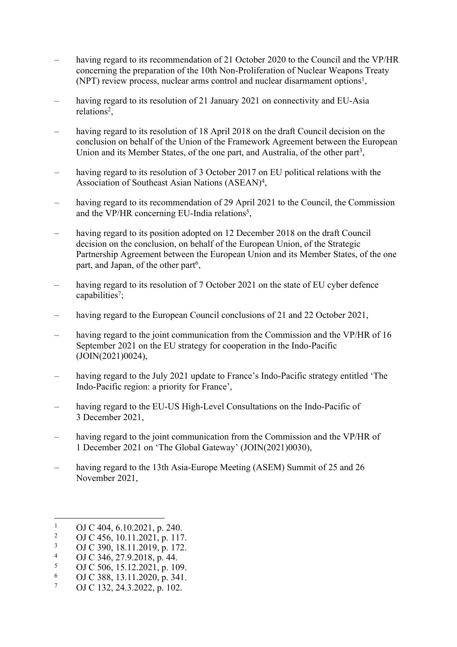- having regard to its recommendation of 21 October 2020 to the Council and the VP/HR concerning the preparation of the 10th Non-Proliferation of Nuclear Weapons Treaty (NPT) review process, nuclear arms control and nuclear disarmament options<sup>1</sup>,
- having regard to its resolution of 21 January 2021 on connectivity and EU-Asia relations<sup>2</sup>,
- having regard to its resolution of 18 April 2018 on the draft Council decision on the conclusion on behalf of the Union of the Framework Agreement between the European Union and its Member States, of the one part, and Australia, of the other part<sup>3</sup>,
- having regard to its resolution of 3 October 2017 on EU political relations with the Association of Southeast Asian Nations (ASEAN)<sup>4</sup> ,
- having regard to its recommendation of 29 April 2021 to the Council, the Commission and the VP/HR concerning EU-India relations<sup>5</sup>,
- having regard to its position adopted on 12 December 2018 on the draft Council decision on the conclusion, on behalf of the European Union, of the Strategic Partnership Agreement between the European Union and its Member States, of the one part, and Japan, of the other part<sup>6</sup>,
- having regard to its resolution of 7 October 2021 on the state of EU cyber defence capabilities<sup>7</sup>;
- having regard to the European Council conclusions of 21 and 22 October 2021,
- having regard to the joint communication from the Commission and the VP/HR of 16 September 2021 on the EU strategy for cooperation in the Indo-Pacific (JOIN(2021)0024),
- having regard to the July 2021 update to France's Indo-Pacific strategy entitled 'The Indo-Pacific region: a priority for France',
- having regard to the EU-US High-Level Consultations on the Indo-Pacific of 3 December 2021,
- having regard to the joint communication from the Commission and the VP/HR of 1 December 2021 on 'The Global Gateway' (JOIN(2021)0030),
- having regard to the 13th Asia-Europe Meeting (ASEM) Summit of 25 and 26 November 2021,

<sup>1</sup> OJ C 404, 6.10.2021, p. 240.

 $2<sup>2</sup>$ OJ C 456, 10.11.2021, p. 117.

<sup>3</sup> OJ C 390, 18.11.2019, p. 172.

<sup>4</sup> OJ C 346, 27.9.2018, p. 44.

<sup>5</sup> OJ C 506, 15.12.2021, p. 109.

<sup>6</sup> OJ C 388, 13.11.2020, p. 341.

<sup>7</sup> OJ C 132, 24.3.2022, p. 102.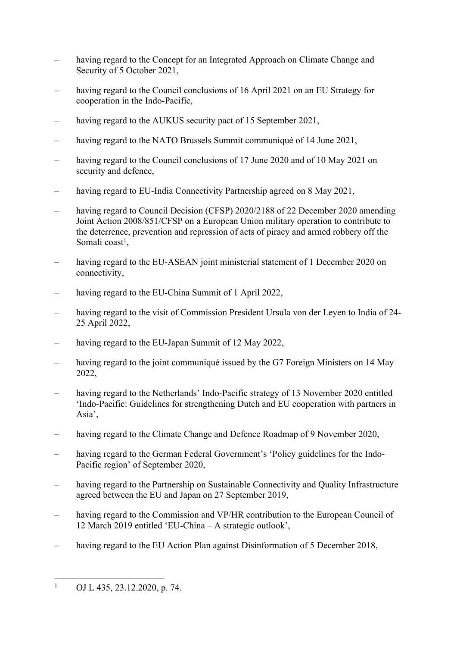- having regard to the Concept for an Integrated Approach on Climate Change and Security of 5 October 2021,
- having regard to the Council conclusions of 16 April 2021 on an EU Strategy for cooperation in the Indo-Pacific,
- having regard to the AUKUS security pact of 15 September 2021,
- having regard to the NATO Brussels Summit communiqué of 14 June 2021,
- having regard to the Council conclusions of 17 June 2020 and of 10 May 2021 on security and defence,
- having regard to EU-India Connectivity Partnership agreed on 8 May 2021,
- having regard to Council Decision (CFSP) 2020/2188 of 22 December 2020 amending Joint Action 2008/851/CFSP on a European Union military operation to contribute to the deterrence, prevention and repression of acts of piracy and armed robbery off the Somali coast<sup>1</sup>,
- having regard to the EU-ASEAN joint ministerial statement of 1 December 2020 on connectivity,
- having regard to the EU-China Summit of 1 April 2022,
- having regard to the visit of Commission President Ursula von der Leyen to India of 24- 25 April 2022,
- having regard to the EU-Japan Summit of 12 May 2022,
- having regard to the joint communiqué issued by the G7 Foreign Ministers on 14 May 2022,
- having regard to the Netherlands' Indo-Pacific strategy of 13 November 2020 entitled 'Indo-Pacific: Guidelines for strengthening Dutch and EU cooperation with partners in Asia',
- having regard to the Climate Change and Defence Roadmap of 9 November 2020,
- having regard to the German Federal Government's 'Policy guidelines for the Indo-Pacific region' of September 2020,
- having regard to the Partnership on Sustainable Connectivity and Quality Infrastructure agreed between the EU and Japan on 27 September 2019,
- having regard to the Commission and VP/HR contribution to the European Council of 12 March 2019 entitled 'EU-China – A strategic outlook',
- having regard to the EU Action Plan against Disinformation of 5 December 2018,

<sup>1</sup> OJ L 435, 23.12.2020, p. 74.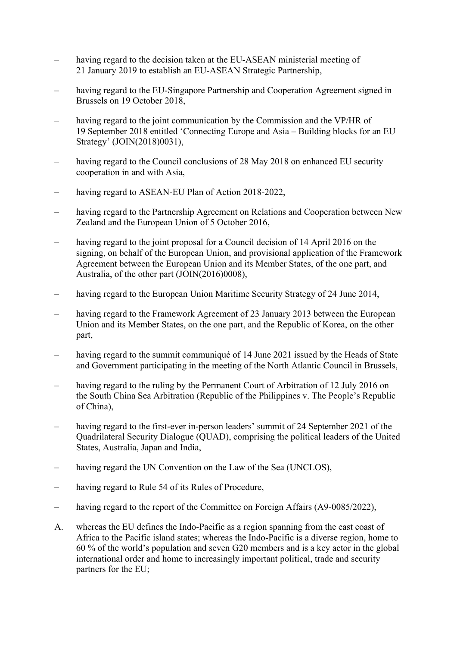- having regard to the decision taken at the EU-ASEAN ministerial meeting of 21 January 2019 to establish an EU-ASEAN Strategic Partnership,
- having regard to the EU-Singapore Partnership and Cooperation Agreement signed in Brussels on 19 October 2018,
- having regard to the joint communication by the Commission and the VP/HR of 19 September 2018 entitled 'Connecting Europe and Asia – Building blocks for an EU Strategy' (JOIN(2018)0031),
- having regard to the Council conclusions of 28 May 2018 on enhanced EU security cooperation in and with Asia,
- having regard to ASEAN-EU Plan of Action 2018-2022,
- having regard to the Partnership Agreement on Relations and Cooperation between New Zealand and the European Union of 5 October 2016,
- having regard to the joint proposal for a Council decision of 14 April 2016 on the signing, on behalf of the European Union, and provisional application of the Framework Agreement between the European Union and its Member States, of the one part, and Australia, of the other part (JOIN(2016)0008),
- having regard to the European Union Maritime Security Strategy of 24 June 2014,
- having regard to the Framework Agreement of 23 January 2013 between the European Union and its Member States, on the one part, and the Republic of Korea, on the other part,
- having regard to the summit communiqué of 14 June 2021 issued by the Heads of State and Government participating in the meeting of the North Atlantic Council in Brussels,
- having regard to the ruling by the Permanent Court of Arbitration of 12 July 2016 on the South China Sea Arbitration (Republic of the Philippines v. The People's Republic of China),
- having regard to the first-ever in-person leaders' summit of 24 September 2021 of the Quadrilateral Security Dialogue (QUAD), comprising the political leaders of the United States, Australia, Japan and India,
- having regard the UN Convention on the Law of the Sea (UNCLOS),
- having regard to Rule 54 of its Rules of Procedure,
- having regard to the report of the Committee on Foreign Affairs (A9-0085/2022),
- A. whereas the EU defines the Indo-Pacific as a region spanning from the east coast of Africa to the Pacific island states; whereas the Indo-Pacific is a diverse region, home to 60 % of the world's population and seven G20 members and is a key actor in the global international order and home to increasingly important political, trade and security partners for the EU;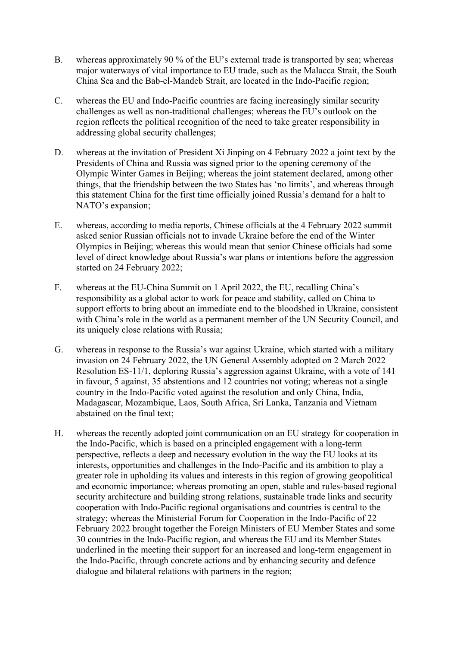- B. whereas approximately 90 % of the EU's external trade is transported by sea; whereas major waterways of vital importance to EU trade, such as the Malacca Strait, the South China Sea and the Bab-el-Mandeb Strait, are located in the Indo-Pacific region;
- C. whereas the EU and Indo-Pacific countries are facing increasingly similar security challenges as well as non-traditional challenges; whereas the EU's outlook on the region reflects the political recognition of the need to take greater responsibility in addressing global security challenges;
- D. whereas at the invitation of President Xi Jinping on 4 February 2022 a joint text by the Presidents of China and Russia was signed prior to the opening ceremony of the Olympic Winter Games in Beijing; whereas the joint statement declared, among other things, that the friendship between the two States has 'no limits', and whereas through this statement China for the first time officially joined Russia's demand for a halt to NATO's expansion;
- E. whereas, according to media reports, Chinese officials at the 4 February 2022 summit asked senior Russian officials not to invade Ukraine before the end of the Winter Olympics in Beijing; whereas this would mean that senior Chinese officials had some level of direct knowledge about Russia's war plans or intentions before the aggression started on 24 February 2022;
- F. whereas at the EU-China Summit on 1 April 2022, the EU, recalling China's responsibility as a global actor to work for peace and stability, called on China to support efforts to bring about an immediate end to the bloodshed in Ukraine, consistent with China's role in the world as a permanent member of the UN Security Council, and its uniquely close relations with Russia;
- G. whereas in response to the Russia's war against Ukraine, which started with a military invasion on 24 February 2022, the UN General Assembly adopted on 2 March 2022 Resolution ES-11/1, deploring Russia's aggression against Ukraine, with a vote of 141 in favour, 5 against, 35 abstentions and 12 countries not voting; whereas not a single country in the Indo-Pacific voted against the resolution and only China, India, Madagascar, Mozambique, Laos, South Africa, Sri Lanka, Tanzania and Vietnam abstained on the final text;
- H. whereas the recently adopted joint communication on an EU strategy for cooperation in the Indo-Pacific, which is based on a principled engagement with a long-term perspective, reflects a deep and necessary evolution in the way the EU looks at its interests, opportunities and challenges in the Indo-Pacific and its ambition to play a greater role in upholding its values and interests in this region of growing geopolitical and economic importance; whereas promoting an open, stable and rules-based regional security architecture and building strong relations, sustainable trade links and security cooperation with Indo-Pacific regional organisations and countries is central to the strategy; whereas the Ministerial Forum for Cooperation in the Indo-Pacific of 22 February 2022 brought together the Foreign Ministers of EU Member States and some 30 countries in the Indo-Pacific region, and whereas the EU and its Member States underlined in the meeting their support for an increased and long-term engagement in the Indo-Pacific, through concrete actions and by enhancing security and defence dialogue and bilateral relations with partners in the region;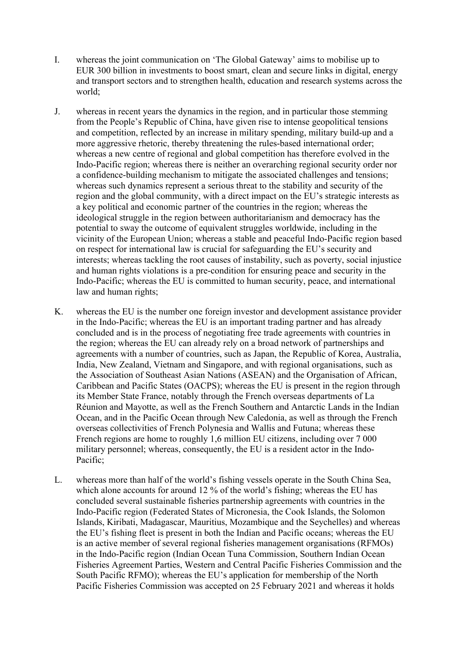- I. whereas the joint communication on 'The Global Gateway' aims to mobilise up to EUR 300 billion in investments to boost smart, clean and secure links in digital, energy and transport sectors and to strengthen health, education and research systems across the world;
- J. whereas in recent years the dynamics in the region, and in particular those stemming from the People's Republic of China, have given rise to intense geopolitical tensions and competition, reflected by an increase in military spending, military build-up and a more aggressive rhetoric, thereby threatening the rules-based international order; whereas a new centre of regional and global competition has therefore evolved in the Indo-Pacific region; whereas there is neither an overarching regional security order nor a confidence-building mechanism to mitigate the associated challenges and tensions; whereas such dynamics represent a serious threat to the stability and security of the region and the global community, with a direct impact on the EU's strategic interests as a key political and economic partner of the countries in the region; whereas the ideological struggle in the region between authoritarianism and democracy has the potential to sway the outcome of equivalent struggles worldwide, including in the vicinity of the European Union; whereas a stable and peaceful Indo-Pacific region based on respect for international law is crucial for safeguarding the EU's security and interests; whereas tackling the root causes of instability, such as poverty, social injustice and human rights violations is a pre-condition for ensuring peace and security in the Indo-Pacific; whereas the EU is committed to human security, peace, and international law and human rights;
- K. whereas the EU is the number one foreign investor and development assistance provider in the Indo-Pacific; whereas the EU is an important trading partner and has already concluded and is in the process of negotiating free trade agreements with countries in the region; whereas the EU can already rely on a broad network of partnerships and agreements with a number of countries, such as Japan, the Republic of Korea, Australia, India, New Zealand, Vietnam and Singapore, and with regional organisations, such as the Association of Southeast Asian Nations (ASEAN) and the Organisation of African, Caribbean and Pacific States (OACPS); whereas the EU is present in the region through its Member State France, notably through the French overseas departments of La Réunion and Mayotte, as well as the French Southern and Antarctic Lands in the Indian Ocean, and in the Pacific Ocean through New Caledonia, as well as through the French overseas collectivities of French Polynesia and Wallis and Futuna; whereas these French regions are home to roughly 1,6 million EU citizens, including over 7 000 military personnel; whereas, consequently, the EU is a resident actor in the Indo-Pacific;
- L. whereas more than half of the world's fishing vessels operate in the South China Sea, which alone accounts for around 12 % of the world's fishing; whereas the EU has concluded several sustainable fisheries partnership agreements with countries in the Indo-Pacific region (Federated States of Micronesia, the Cook Islands, the Solomon Islands, Kiribati, Madagascar, Mauritius, Mozambique and the Seychelles) and whereas the EU's fishing fleet is present in both the Indian and Pacific oceans; whereas the EU is an active member of several regional fisheries management organisations (RFMOs) in the Indo-Pacific region (Indian Ocean Tuna Commission, Southern Indian Ocean Fisheries Agreement Parties, Western and Central Pacific Fisheries Commission and the South Pacific RFMO); whereas the EU's application for membership of the North Pacific Fisheries Commission was accepted on 25 February 2021 and whereas it holds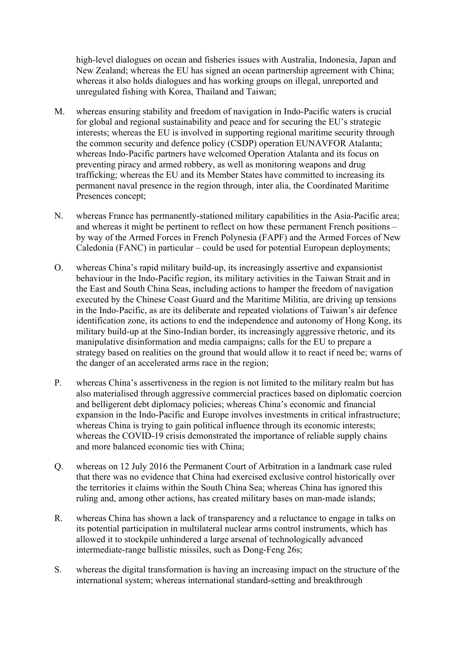high-level dialogues on ocean and fisheries issues with Australia, Indonesia, Japan and New Zealand; whereas the EU has signed an ocean partnership agreement with China; whereas it also holds dialogues and has working groups on illegal, unreported and unregulated fishing with Korea, Thailand and Taiwan;

- M. whereas ensuring stability and freedom of navigation in Indo-Pacific waters is crucial for global and regional sustainability and peace and for securing the EU's strategic interests; whereas the EU is involved in supporting regional maritime security through the common security and defence policy (CSDP) operation EUNAVFOR Atalanta; whereas Indo-Pacific partners have welcomed Operation Atalanta and its focus on preventing piracy and armed robbery, as well as monitoring weapons and drug trafficking; whereas the EU and its Member States have committed to increasing its permanent naval presence in the region through, inter alia, the Coordinated Maritime Presences concept;
- N. whereas France has permanently-stationed military capabilities in the Asia-Pacific area; and whereas it might be pertinent to reflect on how these permanent French positions – by way of the Armed Forces in French Polynesia (FAPF) and the Armed Forces of New Caledonia (FANC) in particular – could be used for potential European deployments;
- O. whereas China's rapid military build-up, its increasingly assertive and expansionist behaviour in the Indo-Pacific region, its military activities in the Taiwan Strait and in the East and South China Seas, including actions to hamper the freedom of navigation executed by the Chinese Coast Guard and the Maritime Militia, are driving up tensions in the Indo-Pacific, as are its deliberate and repeated violations of Taiwan's air defence identification zone, its actions to end the independence and autonomy of Hong Kong, its military build-up at the Sino-Indian border, its increasingly aggressive rhetoric, and its manipulative disinformation and media campaigns; calls for the EU to prepare a strategy based on realities on the ground that would allow it to react if need be; warns of the danger of an accelerated arms race in the region;
- P. whereas China's assertiveness in the region is not limited to the military realm but has also materialised through aggressive commercial practices based on diplomatic coercion and belligerent debt diplomacy policies; whereas China's economic and financial expansion in the Indo-Pacific and Europe involves investments in critical infrastructure; whereas China is trying to gain political influence through its economic interests; whereas the COVID-19 crisis demonstrated the importance of reliable supply chains and more balanced economic ties with China;
- Q. whereas on 12 July 2016 the Permanent Court of Arbitration in a landmark case ruled that there was no evidence that China had exercised exclusive control historically over the territories it claims within the South China Sea; whereas China has ignored this ruling and, among other actions, has created military bases on man-made islands;
- R. whereas China has shown a lack of transparency and a reluctance to engage in talks on its potential participation in multilateral nuclear arms control instruments, which has allowed it to stockpile unhindered a large arsenal of technologically advanced intermediate-range ballistic missiles, such as Dong-Feng 26s;
- S. whereas the digital transformation is having an increasing impact on the structure of the international system; whereas international standard-setting and breakthrough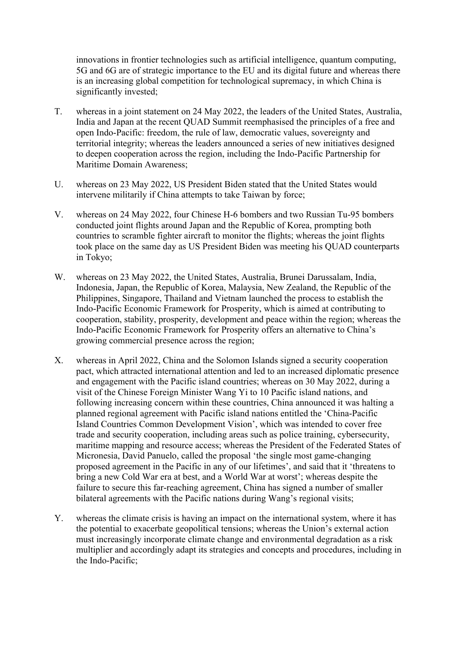innovations in frontier technologies such as artificial intelligence, quantum computing, 5G and 6G are of strategic importance to the EU and its digital future and whereas there is an increasing global competition for technological supremacy, in which China is significantly invested;

- T. whereas in a joint statement on 24 May 2022, the leaders of the United States, Australia, India and Japan at the recent QUAD Summit reemphasised the principles of a free and open Indo-Pacific: freedom, the rule of law, democratic values, sovereignty and territorial integrity; whereas the leaders announced a series of new initiatives designed to deepen cooperation across the region, including the Indo-Pacific Partnership for Maritime Domain Awareness;
- U. whereas on 23 May 2022, US President Biden stated that the United States would intervene militarily if China attempts to take Taiwan by force;
- V. whereas on 24 May 2022, four Chinese H-6 bombers and two Russian Tu-95 bombers conducted joint flights around Japan and the Republic of Korea, prompting both countries to scramble fighter aircraft to monitor the flights; whereas the joint flights took place on the same day as US President Biden was meeting his QUAD counterparts in Tokyo;
- W. whereas on 23 May 2022, the United States, Australia, Brunei Darussalam, India, Indonesia, Japan, the Republic of Korea, Malaysia, New Zealand, the Republic of the Philippines, Singapore, Thailand and Vietnam launched the process to establish the Indo-Pacific Economic Framework for Prosperity, which is aimed at contributing to cooperation, stability, prosperity, development and peace within the region; whereas the Indo-Pacific Economic Framework for Prosperity offers an alternative to China's growing commercial presence across the region;
- X. whereas in April 2022, China and the Solomon Islands signed a security cooperation pact, which attracted international attention and led to an increased diplomatic presence and engagement with the Pacific island countries; whereas on 30 May 2022, during a visit of the Chinese Foreign Minister Wang Yi to 10 Pacific island nations, and following increasing concern within these countries, China announced it was halting a planned regional agreement with Pacific island nations entitled the 'China-Pacific Island Countries Common Development Vision', which was intended to cover free trade and security cooperation, including areas such as police training, cybersecurity, maritime mapping and resource access; whereas the President of the Federated States of Micronesia, David Panuelo, called the proposal 'the single most game-changing proposed agreement in the Pacific in any of our lifetimes', and said that it 'threatens to bring a new Cold War era at best, and a World War at worst'; whereas despite the failure to secure this far-reaching agreement, China has signed a number of smaller bilateral agreements with the Pacific nations during Wang's regional visits;
- Y. whereas the climate crisis is having an impact on the international system, where it has the potential to exacerbate geopolitical tensions; whereas the Union's external action must increasingly incorporate climate change and environmental degradation as a risk multiplier and accordingly adapt its strategies and concepts and procedures, including in the Indo-Pacific;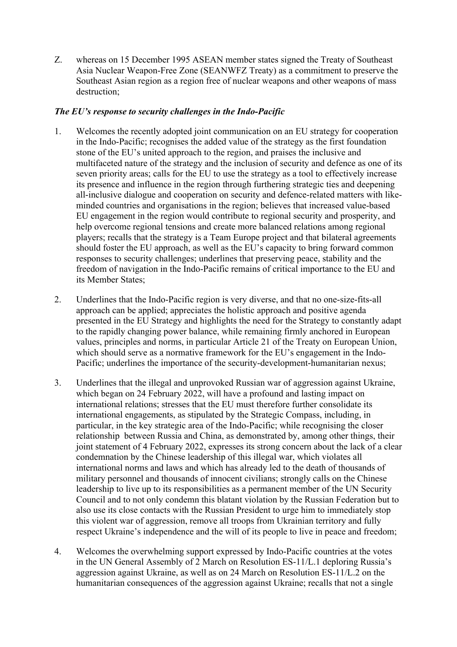Z. whereas on 15 December 1995 ASEAN member states signed the Treaty of Southeast Asia Nuclear Weapon-Free Zone (SEANWFZ Treaty) as a commitment to preserve the Southeast Asian region as a region free of nuclear weapons and other weapons of mass destruction;

## *The EU's response to security challenges in the Indo-Pacific*

- 1. Welcomes the recently adopted joint communication on an EU strategy for cooperation in the Indo-Pacific; recognises the added value of the strategy as the first foundation stone of the EU's united approach to the region, and praises the inclusive and multifaceted nature of the strategy and the inclusion of security and defence as one of its seven priority areas; calls for the EU to use the strategy as a tool to effectively increase its presence and influence in the region through furthering strategic ties and deepening all-inclusive dialogue and cooperation on security and defence-related matters with likeminded countries and organisations in the region; believes that increased value-based EU engagement in the region would contribute to regional security and prosperity, and help overcome regional tensions and create more balanced relations among regional players; recalls that the strategy is a Team Europe project and that bilateral agreements should foster the EU approach, as well as the EU's capacity to bring forward common responses to security challenges; underlines that preserving peace, stability and the freedom of navigation in the Indo-Pacific remains of critical importance to the EU and its Member States;
- 2. Underlines that the Indo-Pacific region is very diverse, and that no one-size-fits-all approach can be applied; appreciates the holistic approach and positive agenda presented in the EU Strategy and highlights the need for the Strategy to constantly adapt to the rapidly changing power balance, while remaining firmly anchored in European values, principles and norms, in particular Article 21 of the Treaty on European Union, which should serve as a normative framework for the EU's engagement in the Indo-Pacific; underlines the importance of the security-development-humanitarian nexus;
- 3. Underlines that the illegal and unprovoked Russian war of aggression against Ukraine, which began on 24 February 2022, will have a profound and lasting impact on international relations; stresses that the EU must therefore further consolidate its international engagements, as stipulated by the Strategic Compass, including, in particular, in the key strategic area of the Indo-Pacific; while recognising the closer relationship between Russia and China, as demonstrated by, among other things, their joint statement of 4 February 2022, expresses its strong concern about the lack of a clear condemnation by the Chinese leadership of this illegal war, which violates all international norms and laws and which has already led to the death of thousands of military personnel and thousands of innocent civilians; strongly calls on the Chinese leadership to live up to its responsibilities as a permanent member of the UN Security Council and to not only condemn this blatant violation by the Russian Federation but to also use its close contacts with the Russian President to urge him to immediately stop this violent war of aggression, remove all troops from Ukrainian territory and fully respect Ukraine's independence and the will of its people to live in peace and freedom;
- 4. Welcomes the overwhelming support expressed by Indo-Pacific countries at the votes in the UN General Assembly of 2 March on Resolution ES-11/L.1 deploring Russia's aggression against Ukraine, as well as on 24 March on Resolution ES-11/L.2 on the humanitarian consequences of the aggression against Ukraine; recalls that not a single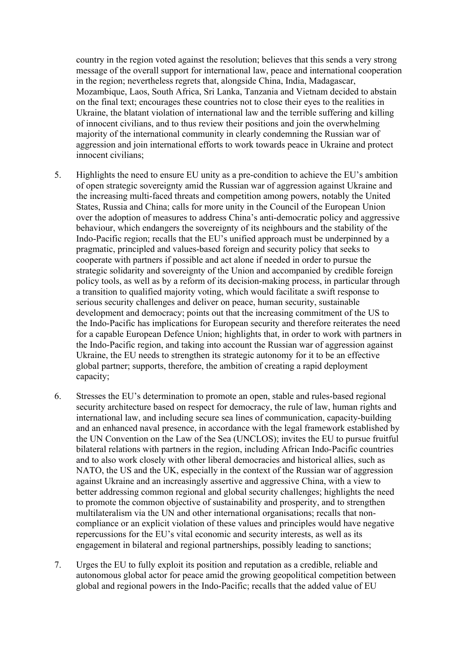country in the region voted against the resolution; believes that this sends a very strong message of the overall support for international law, peace and international cooperation in the region; nevertheless regrets that, alongside China, India, Madagascar, Mozambique, Laos, South Africa, Sri Lanka, Tanzania and Vietnam decided to abstain on the final text; encourages these countries not to close their eyes to the realities in Ukraine, the blatant violation of international law and the terrible suffering and killing of innocent civilians, and to thus review their positions and join the overwhelming majority of the international community in clearly condemning the Russian war of aggression and join international efforts to work towards peace in Ukraine and protect innocent civilians;

- 5. Highlights the need to ensure EU unity as a pre-condition to achieve the EU's ambition of open strategic sovereignty amid the Russian war of aggression against Ukraine and the increasing multi-faced threats and competition among powers, notably the United States, Russia and China; calls for more unity in the Council of the European Union over the adoption of measures to address China's anti-democratic policy and aggressive behaviour, which endangers the sovereignty of its neighbours and the stability of the Indo-Pacific region; recalls that the EU's unified approach must be underpinned by a pragmatic, principled and values-based foreign and security policy that seeks to cooperate with partners if possible and act alone if needed in order to pursue the strategic solidarity and sovereignty of the Union and accompanied by credible foreign policy tools, as well as by a reform of its decision-making process, in particular through a transition to qualified majority voting, which would facilitate a swift response to serious security challenges and deliver on peace, human security, sustainable development and democracy; points out that the increasing commitment of the US to the Indo-Pacific has implications for European security and therefore reiterates the need for a capable European Defence Union; highlights that, in order to work with partners in the Indo-Pacific region, and taking into account the Russian war of aggression against Ukraine, the EU needs to strengthen its strategic autonomy for it to be an effective global partner; supports, therefore, the ambition of creating a rapid deployment capacity;
- 6. Stresses the EU's determination to promote an open, stable and rules-based regional security architecture based on respect for democracy, the rule of law, human rights and international law, and including secure sea lines of communication, capacity-building and an enhanced naval presence, in accordance with the legal framework established by the UN Convention on the Law of the Sea (UNCLOS); invites the EU to pursue fruitful bilateral relations with partners in the region, including African Indo-Pacific countries and to also work closely with other liberal democracies and historical allies, such as NATO, the US and the UK, especially in the context of the Russian war of aggression against Ukraine and an increasingly assertive and aggressive China, with a view to better addressing common regional and global security challenges; highlights the need to promote the common objective of sustainability and prosperity, and to strengthen multilateralism via the UN and other international organisations; recalls that noncompliance or an explicit violation of these values and principles would have negative repercussions for the EU's vital economic and security interests, as well as its engagement in bilateral and regional partnerships, possibly leading to sanctions;
- 7. Urges the EU to fully exploit its position and reputation as a credible, reliable and autonomous global actor for peace amid the growing geopolitical competition between global and regional powers in the Indo-Pacific; recalls that the added value of EU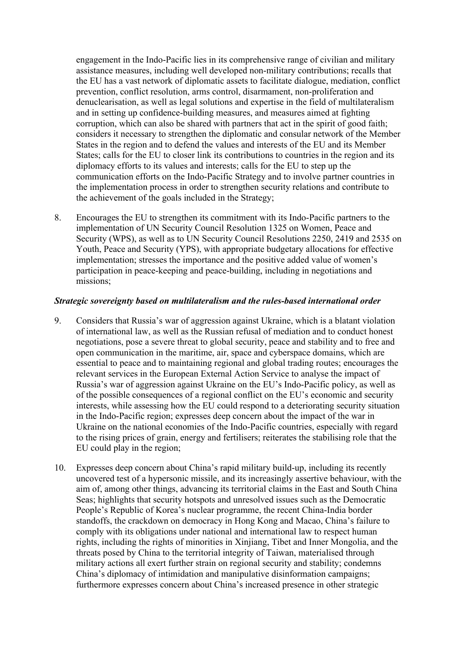engagement in the Indo-Pacific lies in its comprehensive range of civilian and military assistance measures, including well developed non-military contributions; recalls that the EU has a vast network of diplomatic assets to facilitate dialogue, mediation, conflict prevention, conflict resolution, arms control, disarmament, non-proliferation and denuclearisation, as well as legal solutions and expertise in the field of multilateralism and in setting up confidence-building measures, and measures aimed at fighting corruption, which can also be shared with partners that act in the spirit of good faith; considers it necessary to strengthen the diplomatic and consular network of the Member States in the region and to defend the values and interests of the EU and its Member States; calls for the EU to closer link its contributions to countries in the region and its diplomacy efforts to its values and interests; calls for the EU to step up the communication efforts on the Indo-Pacific Strategy and to involve partner countries in the implementation process in order to strengthen security relations and contribute to the achievement of the goals included in the Strategy;

8. Encourages the EU to strengthen its commitment with its Indo-Pacific partners to the implementation of UN Security Council Resolution 1325 on Women, Peace and Security (WPS), as well as to UN Security Council Resolutions 2250, 2419 and 2535 on Youth, Peace and Security (YPS), with appropriate budgetary allocations for effective implementation; stresses the importance and the positive added value of women's participation in peace-keeping and peace-building, including in negotiations and missions;

#### *Strategic sovereignty based on multilateralism and the rules-based international order*

- 9. Considers that Russia's war of aggression against Ukraine, which is a blatant violation of international law, as well as the Russian refusal of mediation and to conduct honest negotiations, pose a severe threat to global security, peace and stability and to free and open communication in the maritime, air, space and cyberspace domains, which are essential to peace and to maintaining regional and global trading routes; encourages the relevant services in the European External Action Service to analyse the impact of Russia's war of aggression against Ukraine on the EU's Indo-Pacific policy, as well as of the possible consequences of a regional conflict on the EU's economic and security interests, while assessing how the EU could respond to a deteriorating security situation in the Indo-Pacific region; expresses deep concern about the impact of the war in Ukraine on the national economies of the Indo-Pacific countries, especially with regard to the rising prices of grain, energy and fertilisers; reiterates the stabilising role that the EU could play in the region;
- 10. Expresses deep concern about China's rapid military build-up, including its recently uncovered test of a hypersonic missile, and its increasingly assertive behaviour, with the aim of, among other things, advancing its territorial claims in the East and South China Seas; highlights that security hotspots and unresolved issues such as the Democratic People's Republic of Korea's nuclear programme, the recent China-India border standoffs, the crackdown on democracy in Hong Kong and Macao, China's failure to comply with its obligations under national and international law to respect human rights, including the rights of minorities in Xinjiang, Tibet and Inner Mongolia, and the threats posed by China to the territorial integrity of Taiwan, materialised through military actions all exert further strain on regional security and stability; condemns China's diplomacy of intimidation and manipulative disinformation campaigns; furthermore expresses concern about China's increased presence in other strategic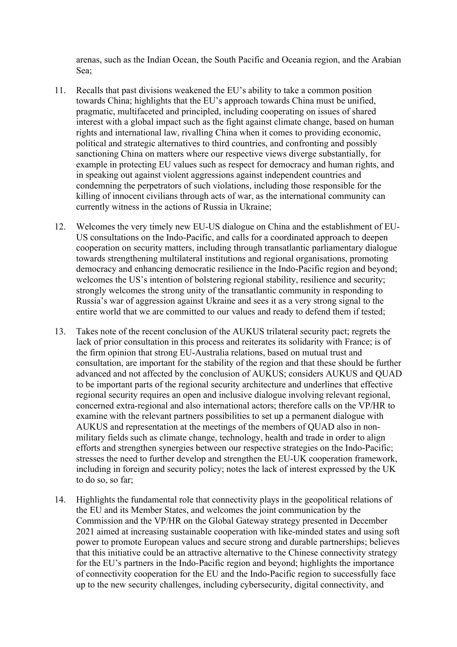arenas, such as the Indian Ocean, the South Pacific and Oceania region, and the Arabian Sea;

- 11. Recalls that past divisions weakened the EU's ability to take a common position towards China; highlights that the EU's approach towards China must be unified, pragmatic, multifaceted and principled, including cooperating on issues of shared interest with a global impact such as the fight against climate change, based on human rights and international law, rivalling China when it comes to providing economic, political and strategic alternatives to third countries, and confronting and possibly sanctioning China on matters where our respective views diverge substantially, for example in protecting EU values such as respect for democracy and human rights, and in speaking out against violent aggressions against independent countries and condemning the perpetrators of such violations, including those responsible for the killing of innocent civilians through acts of war, as the international community can currently witness in the actions of Russia in Ukraine;
- 12. Welcomes the very timely new EU-US dialogue on China and the establishment of EU-US consultations on the Indo-Pacific, and calls for a coordinated approach to deepen cooperation on security matters, including through transatlantic parliamentary dialogue towards strengthening multilateral institutions and regional organisations, promoting democracy and enhancing democratic resilience in the Indo-Pacific region and beyond; welcomes the US's intention of bolstering regional stability, resilience and security; strongly welcomes the strong unity of the transatlantic community in responding to Russia's war of aggression against Ukraine and sees it as a very strong signal to the entire world that we are committed to our values and ready to defend them if tested;
- 13. Takes note of the recent conclusion of the AUKUS trilateral security pact; regrets the lack of prior consultation in this process and reiterates its solidarity with France; is of the firm opinion that strong EU-Australia relations, based on mutual trust and consultation, are important for the stability of the region and that these should be further advanced and not affected by the conclusion of AUKUS; considers AUKUS and QUAD to be important parts of the regional security architecture and underlines that effective regional security requires an open and inclusive dialogue involving relevant regional, concerned extra-regional and also international actors; therefore calls on the VP/HR to examine with the relevant partners possibilities to set up a permanent dialogue with AUKUS and representation at the meetings of the members of QUAD also in nonmilitary fields such as climate change, technology, health and trade in order to align efforts and strengthen synergies between our respective strategies on the Indo-Pacific; stresses the need to further develop and strengthen the EU-UK cooperation framework, including in foreign and security policy; notes the lack of interest expressed by the UK to do so, so far;
- 14. Highlights the fundamental role that connectivity plays in the geopolitical relations of the EU and its Member States, and welcomes the joint communication by the Commission and the VP/HR on the Global Gateway strategy presented in December 2021 aimed at increasing sustainable cooperation with like-minded states and using soft power to promote European values and secure strong and durable partnerships; believes that this initiative could be an attractive alternative to the Chinese connectivity strategy for the EU's partners in the Indo-Pacific region and beyond; highlights the importance of connectivity cooperation for the EU and the Indo-Pacific region to successfully face up to the new security challenges, including cybersecurity, digital connectivity, and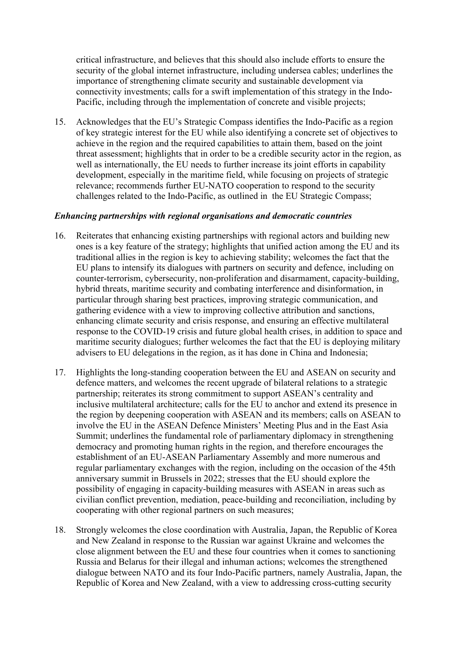critical infrastructure, and believes that this should also include efforts to ensure the security of the global internet infrastructure, including undersea cables; underlines the importance of strengthening climate security and sustainable development via connectivity investments; calls for a swift implementation of this strategy in the Indo-Pacific, including through the implementation of concrete and visible projects;

15. Acknowledges that the EU's Strategic Compass identifies the Indo-Pacific as a region of key strategic interest for the EU while also identifying a concrete set of objectives to achieve in the region and the required capabilities to attain them, based on the joint threat assessment; highlights that in order to be a credible security actor in the region, as well as internationally, the EU needs to further increase its joint efforts in capability development, especially in the maritime field, while focusing on projects of strategic relevance; recommends further EU-NATO cooperation to respond to the security challenges related to the Indo-Pacific, as outlined in the EU Strategic Compass;

### *Enhancing partnerships with regional organisations and democratic countries*

- 16. Reiterates that enhancing existing partnerships with regional actors and building new ones is a key feature of the strategy; highlights that unified action among the EU and its traditional allies in the region is key to achieving stability; welcomes the fact that the EU plans to intensify its dialogues with partners on security and defence, including on counter-terrorism, cybersecurity, non-proliferation and disarmament, capacity-building, hybrid threats, maritime security and combating interference and disinformation, in particular through sharing best practices, improving strategic communication, and gathering evidence with a view to improving collective attribution and sanctions, enhancing climate security and crisis response, and ensuring an effective multilateral response to the COVID-19 crisis and future global health crises, in addition to space and maritime security dialogues; further welcomes the fact that the EU is deploying military advisers to EU delegations in the region, as it has done in China and Indonesia;
- 17. Highlights the long-standing cooperation between the EU and ASEAN on security and defence matters, and welcomes the recent upgrade of bilateral relations to a strategic partnership; reiterates its strong commitment to support ASEAN's centrality and inclusive multilateral architecture; calls for the EU to anchor and extend its presence in the region by deepening cooperation with ASEAN and its members; calls on ASEAN to involve the EU in the ASEAN Defence Ministers' Meeting Plus and in the East Asia Summit; underlines the fundamental role of parliamentary diplomacy in strengthening democracy and promoting human rights in the region, and therefore encourages the establishment of an EU-ASEAN Parliamentary Assembly and more numerous and regular parliamentary exchanges with the region, including on the occasion of the 45th anniversary summit in Brussels in 2022; stresses that the EU should explore the possibility of engaging in capacity-building measures with ASEAN in areas such as civilian conflict prevention, mediation, peace-building and reconciliation, including by cooperating with other regional partners on such measures;
- 18. Strongly welcomes the close coordination with Australia, Japan, the Republic of Korea and New Zealand in response to the Russian war against Ukraine and welcomes the close alignment between the EU and these four countries when it comes to sanctioning Russia and Belarus for their illegal and inhuman actions; welcomes the strengthened dialogue between NATO and its four Indo-Pacific partners, namely Australia, Japan, the Republic of Korea and New Zealand, with a view to addressing cross-cutting security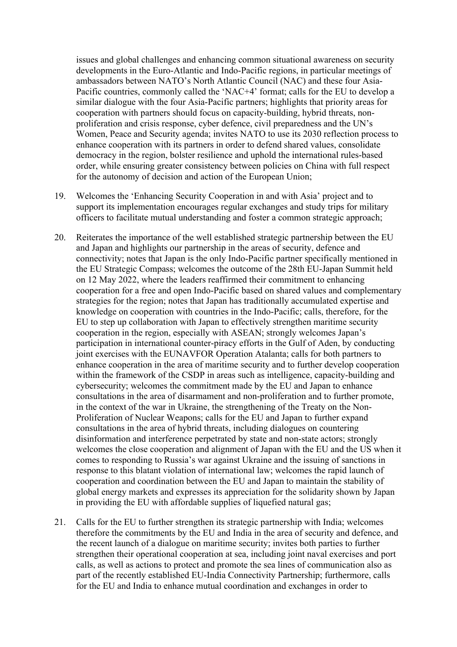issues and global challenges and enhancing common situational awareness on security developments in the Euro-Atlantic and Indo-Pacific regions, in particular meetings of ambassadors between NATO's North Atlantic Council (NAC) and these four Asia-Pacific countries, commonly called the 'NAC+4' format; calls for the EU to develop a similar dialogue with the four Asia-Pacific partners; highlights that priority areas for cooperation with partners should focus on capacity-building, hybrid threats, nonproliferation and crisis response, cyber defence, civil preparedness and the UN's Women, Peace and Security agenda; invites NATO to use its 2030 reflection process to enhance cooperation with its partners in order to defend shared values, consolidate democracy in the region, bolster resilience and uphold the international rules-based order, while ensuring greater consistency between policies on China with full respect for the autonomy of decision and action of the European Union;

- 19. Welcomes the 'Enhancing Security Cooperation in and with Asia' project and to support its implementation encourages regular exchanges and study trips for military officers to facilitate mutual understanding and foster a common strategic approach;
- 20. Reiterates the importance of the well established strategic partnership between the EU and Japan and highlights our partnership in the areas of security, defence and connectivity; notes that Japan is the only Indo-Pacific partner specifically mentioned in the EU Strategic Compass; welcomes the outcome of the 28th EU-Japan Summit held on 12 May 2022, where the leaders reaffirmed their commitment to enhancing cooperation for a free and open Indo-Pacific based on shared values and complementary strategies for the region; notes that Japan has traditionally accumulated expertise and knowledge on cooperation with countries in the Indo-Pacific; calls, therefore, for the EU to step up collaboration with Japan to effectively strengthen maritime security cooperation in the region, especially with ASEAN; strongly welcomes Japan's participation in international counter-piracy efforts in the Gulf of Aden, by conducting joint exercises with the EUNAVFOR Operation Atalanta; calls for both partners to enhance cooperation in the area of maritime security and to further develop cooperation within the framework of the CSDP in areas such as intelligence, capacity-building and cybersecurity; welcomes the commitment made by the EU and Japan to enhance consultations in the area of disarmament and non-proliferation and to further promote, in the context of the war in Ukraine, the strengthening of the Treaty on the Non-Proliferation of Nuclear Weapons; calls for the EU and Japan to further expand consultations in the area of hybrid threats, including dialogues on countering disinformation and interference perpetrated by state and non-state actors; strongly welcomes the close cooperation and alignment of Japan with the EU and the US when it comes to responding to Russia's war against Ukraine and the issuing of sanctions in response to this blatant violation of international law; welcomes the rapid launch of cooperation and coordination between the EU and Japan to maintain the stability of global energy markets and expresses its appreciation for the solidarity shown by Japan in providing the EU with affordable supplies of liquefied natural gas;
- 21. Calls for the EU to further strengthen its strategic partnership with India; welcomes therefore the commitments by the EU and India in the area of security and defence, and the recent launch of a dialogue on maritime security; invites both parties to further strengthen their operational cooperation at sea, including joint naval exercises and port calls, as well as actions to protect and promote the sea lines of communication also as part of the recently established EU-India Connectivity Partnership; furthermore, calls for the EU and India to enhance mutual coordination and exchanges in order to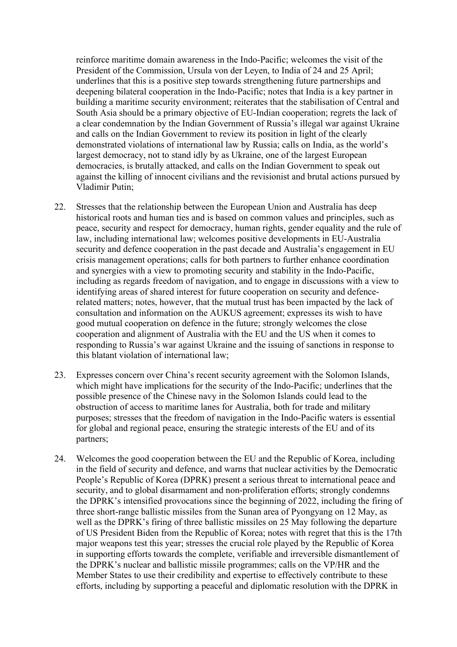reinforce maritime domain awareness in the Indo-Pacific; welcomes the visit of the President of the Commission, Ursula von der Leyen, to India of 24 and 25 April; underlines that this is a positive step towards strengthening future partnerships and deepening bilateral cooperation in the Indo-Pacific; notes that India is a key partner in building a maritime security environment; reiterates that the stabilisation of Central and South Asia should be a primary objective of EU-Indian cooperation; regrets the lack of a clear condemnation by the Indian Government of Russia's illegal war against Ukraine and calls on the Indian Government to review its position in light of the clearly demonstrated violations of international law by Russia; calls on India, as the world's largest democracy, not to stand idly by as Ukraine, one of the largest European democracies, is brutally attacked, and calls on the Indian Government to speak out against the killing of innocent civilians and the revisionist and brutal actions pursued by Vladimir Putin;

- 22. Stresses that the relationship between the European Union and Australia has deep historical roots and human ties and is based on common values and principles, such as peace, security and respect for democracy, human rights, gender equality and the rule of law, including international law; welcomes positive developments in EU-Australia security and defence cooperation in the past decade and Australia's engagement in EU crisis management operations; calls for both partners to further enhance coordination and synergies with a view to promoting security and stability in the Indo-Pacific, including as regards freedom of navigation, and to engage in discussions with a view to identifying areas of shared interest for future cooperation on security and defencerelated matters; notes, however, that the mutual trust has been impacted by the lack of consultation and information on the AUKUS agreement; expresses its wish to have good mutual cooperation on defence in the future; strongly welcomes the close cooperation and alignment of Australia with the EU and the US when it comes to responding to Russia's war against Ukraine and the issuing of sanctions in response to this blatant violation of international law;
- 23. Expresses concern over China's recent security agreement with the Solomon Islands, which might have implications for the security of the Indo-Pacific; underlines that the possible presence of the Chinese navy in the Solomon Islands could lead to the obstruction of access to maritime lanes for Australia, both for trade and military purposes; stresses that the freedom of navigation in the Indo-Pacific waters is essential for global and regional peace, ensuring the strategic interests of the EU and of its partners;
- 24. Welcomes the good cooperation between the EU and the Republic of Korea, including in the field of security and defence, and warns that nuclear activities by the Democratic People's Republic of Korea (DPRK) present a serious threat to international peace and security, and to global disarmament and non-proliferation efforts; strongly condemns the DPRK's intensified provocations since the beginning of 2022, including the firing of three short-range ballistic missiles from the Sunan area of Pyongyang on 12 May, as well as the DPRK's firing of three ballistic missiles on 25 May following the departure of US President Biden from the Republic of Korea; notes with regret that this is the 17th major weapons test this year; stresses the crucial role played by the Republic of Korea in supporting efforts towards the complete, verifiable and irreversible dismantlement of the DPRK's nuclear and ballistic missile programmes; calls on the VP/HR and the Member States to use their credibility and expertise to effectively contribute to these efforts, including by supporting a peaceful and diplomatic resolution with the DPRK in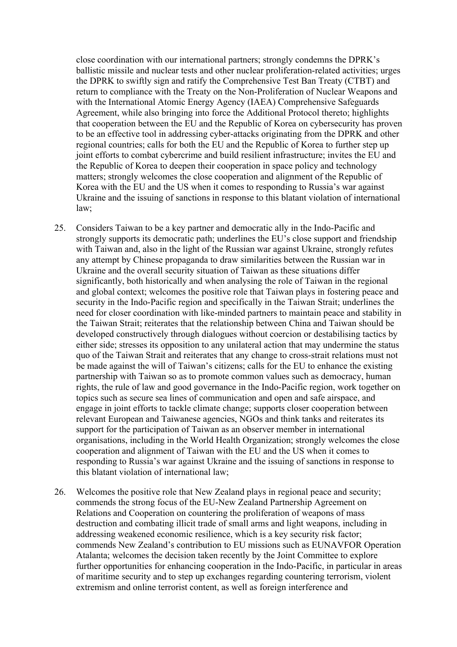close coordination with our international partners; strongly condemns the DPRK's ballistic missile and nuclear tests and other nuclear proliferation-related activities; urges the DPRK to swiftly sign and ratify the Comprehensive Test Ban Treaty (CTBT) and return to compliance with the Treaty on the Non-Proliferation of Nuclear Weapons and with the International Atomic Energy Agency (IAEA) Comprehensive Safeguards Agreement, while also bringing into force the Additional Protocol thereto; highlights that cooperation between the EU and the Republic of Korea on cybersecurity has proven to be an effective tool in addressing cyber-attacks originating from the DPRK and other regional countries; calls for both the EU and the Republic of Korea to further step up joint efforts to combat cybercrime and build resilient infrastructure; invites the EU and the Republic of Korea to deepen their cooperation in space policy and technology matters; strongly welcomes the close cooperation and alignment of the Republic of Korea with the EU and the US when it comes to responding to Russia's war against Ukraine and the issuing of sanctions in response to this blatant violation of international law;

- 25. Considers Taiwan to be a key partner and democratic ally in the Indo-Pacific and strongly supports its democratic path; underlines the EU's close support and friendship with Taiwan and, also in the light of the Russian war against Ukraine, strongly refutes any attempt by Chinese propaganda to draw similarities between the Russian war in Ukraine and the overall security situation of Taiwan as these situations differ significantly, both historically and when analysing the role of Taiwan in the regional and global context; welcomes the positive role that Taiwan plays in fostering peace and security in the Indo-Pacific region and specifically in the Taiwan Strait; underlines the need for closer coordination with like-minded partners to maintain peace and stability in the Taiwan Strait; reiterates that the relationship between China and Taiwan should be developed constructively through dialogues without coercion or destabilising tactics by either side; stresses its opposition to any unilateral action that may undermine the status quo of the Taiwan Strait and reiterates that any change to cross-strait relations must not be made against the will of Taiwan's citizens; calls for the EU to enhance the existing partnership with Taiwan so as to promote common values such as democracy, human rights, the rule of law and good governance in the Indo-Pacific region, work together on topics such as secure sea lines of communication and open and safe airspace, and engage in joint efforts to tackle climate change; supports closer cooperation between relevant European and Taiwanese agencies, NGOs and think tanks and reiterates its support for the participation of Taiwan as an observer member in international organisations, including in the World Health Organization; strongly welcomes the close cooperation and alignment of Taiwan with the EU and the US when it comes to responding to Russia's war against Ukraine and the issuing of sanctions in response to this blatant violation of international law;
- 26. Welcomes the positive role that New Zealand plays in regional peace and security; commends the strong focus of the EU-New Zealand Partnership Agreement on Relations and Cooperation on countering the proliferation of weapons of mass destruction and combating illicit trade of small arms and light weapons, including in addressing weakened economic resilience, which is a key security risk factor; commends New Zealand's contribution to EU missions such as EUNAVFOR Operation Atalanta; welcomes the decision taken recently by the Joint Committee to explore further opportunities for enhancing cooperation in the Indo-Pacific, in particular in areas of maritime security and to step up exchanges regarding countering terrorism, violent extremism and online terrorist content, as well as foreign interference and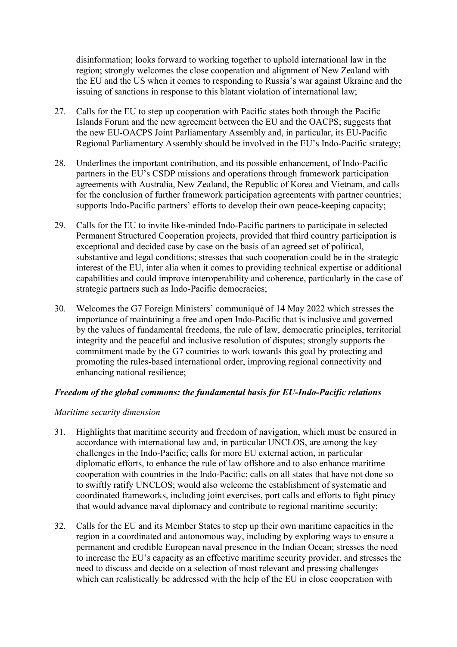disinformation; looks forward to working together to uphold international law in the region; strongly welcomes the close cooperation and alignment of New Zealand with the EU and the US when it comes to responding to Russia's war against Ukraine and the issuing of sanctions in response to this blatant violation of international law;

- 27. Calls for the EU to step up cooperation with Pacific states both through the Pacific Islands Forum and the new agreement between the EU and the OACPS; suggests that the new EU-OACPS Joint Parliamentary Assembly and, in particular, its EU-Pacific Regional Parliamentary Assembly should be involved in the EU's Indo-Pacific strategy;
- 28. Underlines the important contribution, and its possible enhancement, of Indo-Pacific partners in the EU's CSDP missions and operations through framework participation agreements with Australia, New Zealand, the Republic of Korea and Vietnam, and calls for the conclusion of further framework participation agreements with partner countries; supports Indo-Pacific partners' efforts to develop their own peace-keeping capacity;
- 29. Calls for the EU to invite like-minded Indo-Pacific partners to participate in selected Permanent Structured Cooperation projects, provided that third country participation is exceptional and decided case by case on the basis of an agreed set of political, substantive and legal conditions; stresses that such cooperation could be in the strategic interest of the EU, inter alia when it comes to providing technical expertise or additional capabilities and could improve interoperability and coherence, particularly in the case of strategic partners such as Indo-Pacific democracies;
- 30. Welcomes the G7 Foreign Ministers' communiqué of 14 May 2022 which stresses the importance of maintaining a free and open Indo-Pacific that is inclusive and governed by the values of fundamental freedoms, the rule of law, democratic principles, territorial integrity and the peaceful and inclusive resolution of disputes; strongly supports the commitment made by the G7 countries to work towards this goal by protecting and promoting the rules-based international order, improving regional connectivity and enhancing national resilience;

## *Freedom of the global commons: the fundamental basis for EU-Indo-Pacific relations*

#### *Maritime security dimension*

- 31. Highlights that maritime security and freedom of navigation, which must be ensured in accordance with international law and, in particular UNCLOS, are among the key challenges in the Indo-Pacific; calls for more EU external action, in particular diplomatic efforts, to enhance the rule of law offshore and to also enhance maritime cooperation with countries in the Indo-Pacific; calls on all states that have not done so to swiftly ratify UNCLOS; would also welcome the establishment of systematic and coordinated frameworks, including joint exercises, port calls and efforts to fight piracy that would advance naval diplomacy and contribute to regional maritime security;
- 32. Calls for the EU and its Member States to step up their own maritime capacities in the region in a coordinated and autonomous way, including by exploring ways to ensure a permanent and credible European naval presence in the Indian Ocean; stresses the need to increase the EU's capacity as an effective maritime security provider, and stresses the need to discuss and decide on a selection of most relevant and pressing challenges which can realistically be addressed with the help of the EU in close cooperation with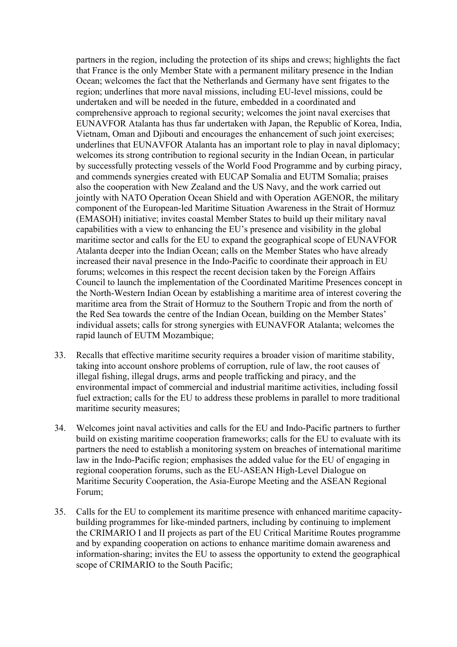partners in the region, including the protection of its ships and crews; highlights the fact that France is the only Member State with a permanent military presence in the Indian Ocean; welcomes the fact that the Netherlands and Germany have sent frigates to the region; underlines that more naval missions, including EU-level missions, could be undertaken and will be needed in the future, embedded in a coordinated and comprehensive approach to regional security; welcomes the joint naval exercises that EUNAVFOR Atalanta has thus far undertaken with Japan, the Republic of Korea, India, Vietnam, Oman and Djibouti and encourages the enhancement of such joint exercises; underlines that EUNAVFOR Atalanta has an important role to play in naval diplomacy; welcomes its strong contribution to regional security in the Indian Ocean, in particular by successfully protecting vessels of the World Food Programme and by curbing piracy, and commends synergies created with EUCAP Somalia and EUTM Somalia; praises also the cooperation with New Zealand and the US Navy, and the work carried out jointly with NATO Operation Ocean Shield and with Operation AGENOR, the military component of the European-led Maritime Situation Awareness in the Strait of Hormuz (EMASOH) initiative; invites coastal Member States to build up their military naval capabilities with a view to enhancing the EU's presence and visibility in the global maritime sector and calls for the EU to expand the geographical scope of EUNAVFOR Atalanta deeper into the Indian Ocean; calls on the Member States who have already increased their naval presence in the Indo-Pacific to coordinate their approach in EU forums; welcomes in this respect the recent decision taken by the Foreign Affairs Council to launch the implementation of the Coordinated Maritime Presences concept in the North-Western Indian Ocean by establishing a maritime area of interest covering the maritime area from the Strait of Hormuz to the Southern Tropic and from the north of the Red Sea towards the centre of the Indian Ocean, building on the Member States' individual assets; calls for strong synergies with EUNAVFOR Atalanta; welcomes the rapid launch of EUTM Mozambique;

- 33. Recalls that effective maritime security requires a broader vision of maritime stability, taking into account onshore problems of corruption, rule of law, the root causes of illegal fishing, illegal drugs, arms and people trafficking and piracy, and the environmental impact of commercial and industrial maritime activities, including fossil fuel extraction; calls for the EU to address these problems in parallel to more traditional maritime security measures;
- 34. Welcomes joint naval activities and calls for the EU and Indo-Pacific partners to further build on existing maritime cooperation frameworks; calls for the EU to evaluate with its partners the need to establish a monitoring system on breaches of international maritime law in the Indo-Pacific region; emphasises the added value for the EU of engaging in regional cooperation forums, such as the EU-ASEAN High-Level Dialogue on Maritime Security Cooperation, the Asia-Europe Meeting and the ASEAN Regional Forum;
- 35. Calls for the EU to complement its maritime presence with enhanced maritime capacitybuilding programmes for like-minded partners, including by continuing to implement the CRIMARIO I and II projects as part of the EU Critical Maritime Routes programme and by expanding cooperation on actions to enhance maritime domain awareness and information-sharing; invites the EU to assess the opportunity to extend the geographical scope of CRIMARIO to the South Pacific;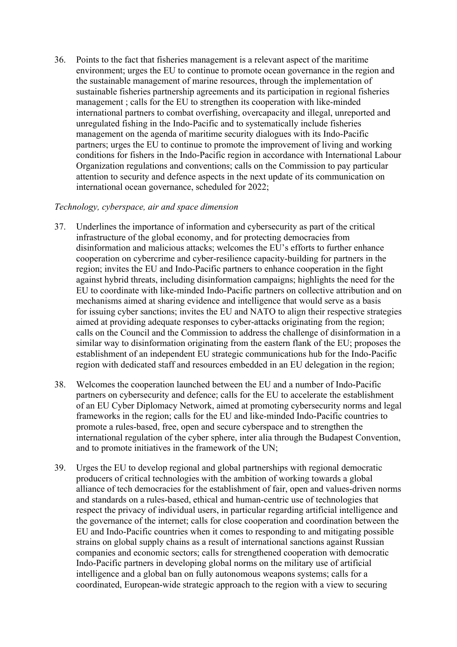36. Points to the fact that fisheries management is a relevant aspect of the maritime environment; urges the EU to continue to promote ocean governance in the region and the sustainable management of marine resources, through the implementation of sustainable fisheries partnership agreements and its participation in regional fisheries management ; calls for the EU to strengthen its cooperation with like-minded international partners to combat overfishing, overcapacity and illegal, unreported and unregulated fishing in the Indo-Pacific and to systematically include fisheries management on the agenda of maritime security dialogues with its Indo-Pacific partners; urges the EU to continue to promote the improvement of living and working conditions for fishers in the Indo-Pacific region in accordance with International Labour Organization regulations and conventions; calls on the Commission to pay particular attention to security and defence aspects in the next update of its communication on international ocean governance, scheduled for 2022;

### *Technology, cyberspace, air and space dimension*

- 37. Underlines the importance of information and cybersecurity as part of the critical infrastructure of the global economy, and for protecting democracies from disinformation and malicious attacks; welcomes the EU's efforts to further enhance cooperation on cybercrime and cyber-resilience capacity-building for partners in the region; invites the EU and Indo-Pacific partners to enhance cooperation in the fight against hybrid threats, including disinformation campaigns; highlights the need for the EU to coordinate with like-minded Indo-Pacific partners on collective attribution and on mechanisms aimed at sharing evidence and intelligence that would serve as a basis for issuing cyber sanctions; invites the EU and NATO to align their respective strategies aimed at providing adequate responses to cyber-attacks originating from the region; calls on the Council and the Commission to address the challenge of disinformation in a similar way to disinformation originating from the eastern flank of the EU; proposes the establishment of an independent EU strategic communications hub for the Indo-Pacific region with dedicated staff and resources embedded in an EU delegation in the region;
- 38. Welcomes the cooperation launched between the EU and a number of Indo-Pacific partners on cybersecurity and defence; calls for the EU to accelerate the establishment of an EU Cyber Diplomacy Network, aimed at promoting cybersecurity norms and legal frameworks in the region; calls for the EU and like-minded Indo-Pacific countries to promote a rules-based, free, open and secure cyberspace and to strengthen the international regulation of the cyber sphere, inter alia through the Budapest Convention, and to promote initiatives in the framework of the UN;
- 39. Urges the EU to develop regional and global partnerships with regional democratic producers of critical technologies with the ambition of working towards a global alliance of tech democracies for the establishment of fair, open and values-driven norms and standards on a rules-based, ethical and human-centric use of technologies that respect the privacy of individual users, in particular regarding artificial intelligence and the governance of the internet; calls for close cooperation and coordination between the EU and Indo-Pacific countries when it comes to responding to and mitigating possible strains on global supply chains as a result of international sanctions against Russian companies and economic sectors; calls for strengthened cooperation with democratic Indo-Pacific partners in developing global norms on the military use of artificial intelligence and a global ban on fully autonomous weapons systems; calls for a coordinated, European-wide strategic approach to the region with a view to securing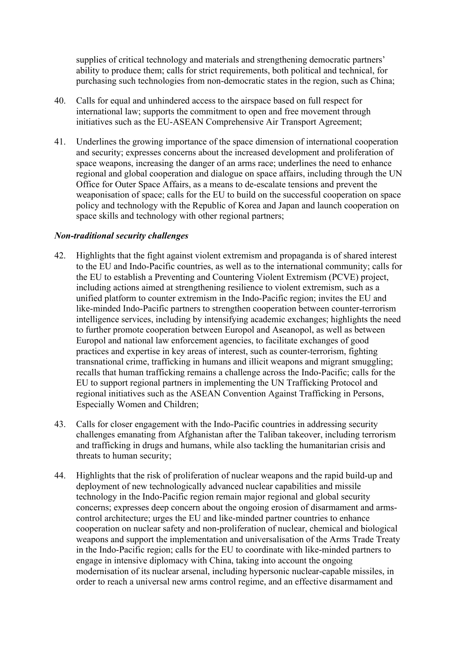supplies of critical technology and materials and strengthening democratic partners' ability to produce them; calls for strict requirements, both political and technical, for purchasing such technologies from non-democratic states in the region, such as China;

- 40. Calls for equal and unhindered access to the airspace based on full respect for international law; supports the commitment to open and free movement through initiatives such as the EU-ASEAN Comprehensive Air Transport Agreement;
- 41. Underlines the growing importance of the space dimension of international cooperation and security; expresses concerns about the increased development and proliferation of space weapons, increasing the danger of an arms race; underlines the need to enhance regional and global cooperation and dialogue on space affairs, including through the UN Office for Outer Space Affairs, as a means to de-escalate tensions and prevent the weaponisation of space; calls for the EU to build on the successful cooperation on space policy and technology with the Republic of Korea and Japan and launch cooperation on space skills and technology with other regional partners;

## *Non-traditional security challenges*

- 42. Highlights that the fight against violent extremism and propaganda is of shared interest to the EU and Indo-Pacific countries, as well as to the international community; calls for the EU to establish a Preventing and Countering Violent Extremism (PCVE) project, including actions aimed at strengthening resilience to violent extremism, such as a unified platform to counter extremism in the Indo-Pacific region; invites the EU and like-minded Indo-Pacific partners to strengthen cooperation between counter-terrorism intelligence services, including by intensifying academic exchanges; highlights the need to further promote cooperation between Europol and Aseanopol, as well as between Europol and national law enforcement agencies, to facilitate exchanges of good practices and expertise in key areas of interest, such as counter-terrorism, fighting transnational crime, trafficking in humans and illicit weapons and migrant smuggling; recalls that human trafficking remains a challenge across the Indo-Pacific; calls for the EU to support regional partners in implementing the UN Trafficking Protocol and regional initiatives such as the ASEAN Convention Against Trafficking in Persons, Especially Women and Children;
- 43. Calls for closer engagement with the Indo-Pacific countries in addressing security challenges emanating from Afghanistan after the Taliban takeover, including terrorism and trafficking in drugs and humans, while also tackling the humanitarian crisis and threats to human security;
- 44. Highlights that the risk of proliferation of nuclear weapons and the rapid build-up and deployment of new technologically advanced nuclear capabilities and missile technology in the Indo-Pacific region remain major regional and global security concerns; expresses deep concern about the ongoing erosion of disarmament and armscontrol architecture; urges the EU and like-minded partner countries to enhance cooperation on nuclear safety and non-proliferation of nuclear, chemical and biological weapons and support the implementation and universalisation of the Arms Trade Treaty in the Indo-Pacific region; calls for the EU to coordinate with like-minded partners to engage in intensive diplomacy with China, taking into account the ongoing modernisation of its nuclear arsenal, including hypersonic nuclear-capable missiles, in order to reach a universal new arms control regime, and an effective disarmament and